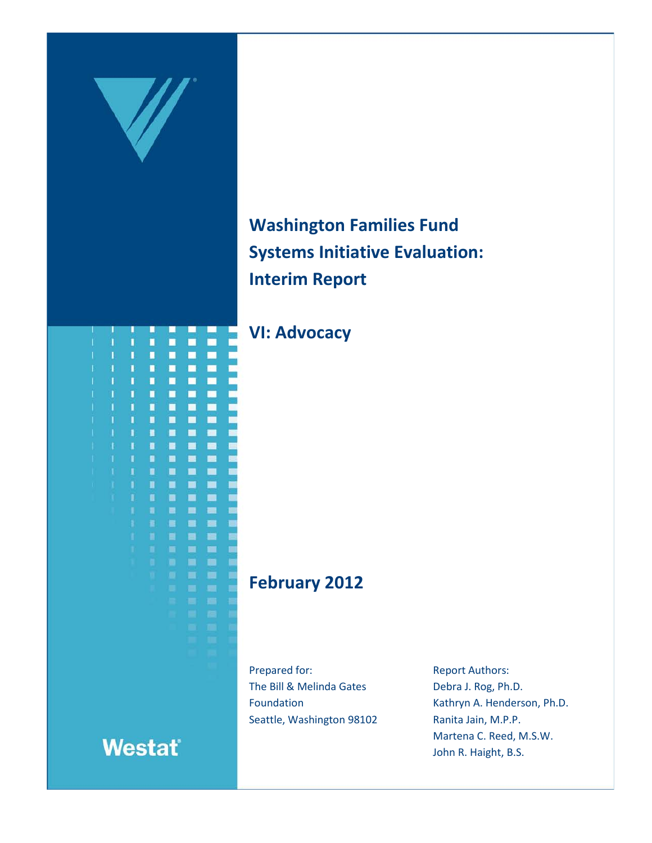

**Washington Families Fund Systems Initiative Evaluation: Interim Report**

**VI: Advocacy**

# **February 2012**

Prepared for: The Bill & Melinda Gates Foundation Seattle, Washington 98102 Report Authors: Debra J. Rog, Ph.D. Kathryn A. Henderson, Ph.D. Ranita Jain, M.P.P. Martena C. Reed, M.S.W. John R. Haight, B.S.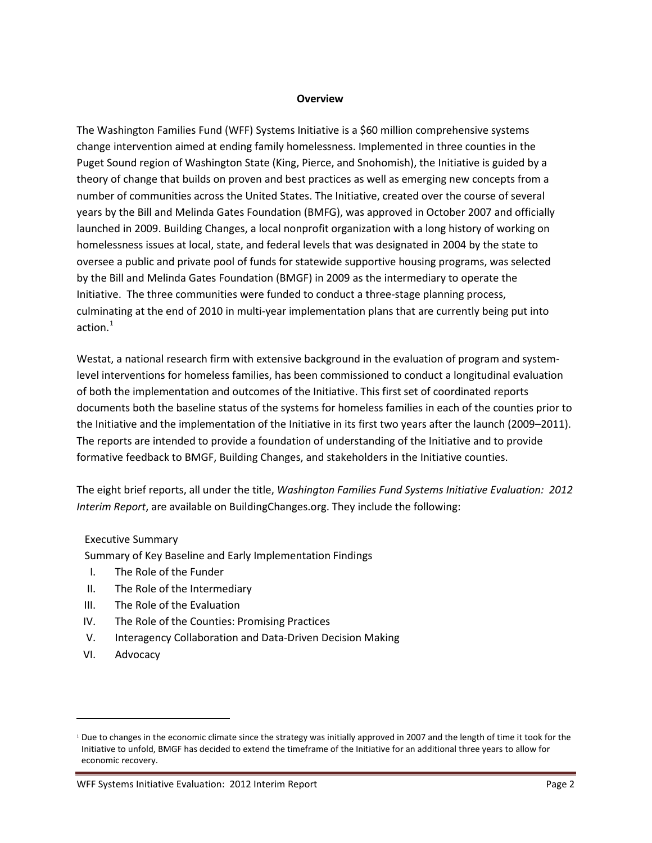#### **Overview**

The Washington Families Fund (WFF) Systems Initiative is a \$60 million comprehensive systems change intervention aimed at ending family homelessness. Implemented in three counties in the Puget Sound region of Washington State (King, Pierce, and Snohomish), the Initiative is guided by a theory of change that builds on proven and best practices as well as emerging new concepts from a number of communities across the United States. The Initiative, created over the course of several years by the Bill and Melinda Gates Foundation (BMFG), was approved in October 2007 and officially launched in 2009. Building Changes, a local nonprofit organization with a long history of working on homelessness issues at local, state, and federal levels that was designated in 2004 by the state to oversee a public and private pool of funds for statewide supportive housing programs, was selected by the Bill and Melinda Gates Foundation (BMGF) in 2009 as the intermediary to operate the Initiative. The three communities were funded to conduct a three-stage planning process, culminating at the end of 2010 in multi-year implementation plans that are currently being put into action. [1](#page-1-0)

Westat, a national research firm with extensive background in the evaluation of program and systemlevel interventions for homeless families, has been commissioned to conduct a longitudinal evaluation of both the implementation and outcomes of the Initiative. This first set of coordinated reports documents both the baseline status of the systems for homeless families in each of the counties prior to the Initiative and the implementation of the Initiative in its first two years after the launch (2009–2011). The reports are intended to provide a foundation of understanding of the Initiative and to provide formative feedback to BMGF, Building Changes, and stakeholders in the Initiative counties.

The eight brief reports, all under the title, *Washington Families Fund Systems Initiative Evaluation: 2012 Interim Report*, are available on BuildingChanges.org. They include the following:

#### Executive Summary

Summary of Key Baseline and Early Implementation Findings

- I. The Role of the Funder
- II. The Role of the Intermediary
- III. The Role of the Evaluation
- IV. The Role of the Counties: Promising Practices
- V. Interagency Collaboration and Data-Driven Decision Making
- VI. Advocacy

 $\overline{a}$ 

<span id="page-1-0"></span><sup>&</sup>lt;sup>1</sup> Due to changes in the economic climate since the strategy was initially approved in 2007 and the length of time it took for the Initiative to unfold, BMGF has decided to extend the timeframe of the Initiative for an additional three years to allow for economic recovery.

WFF Systems Initiative Evaluation: 2012 Interim Report **Page 2** and Page 2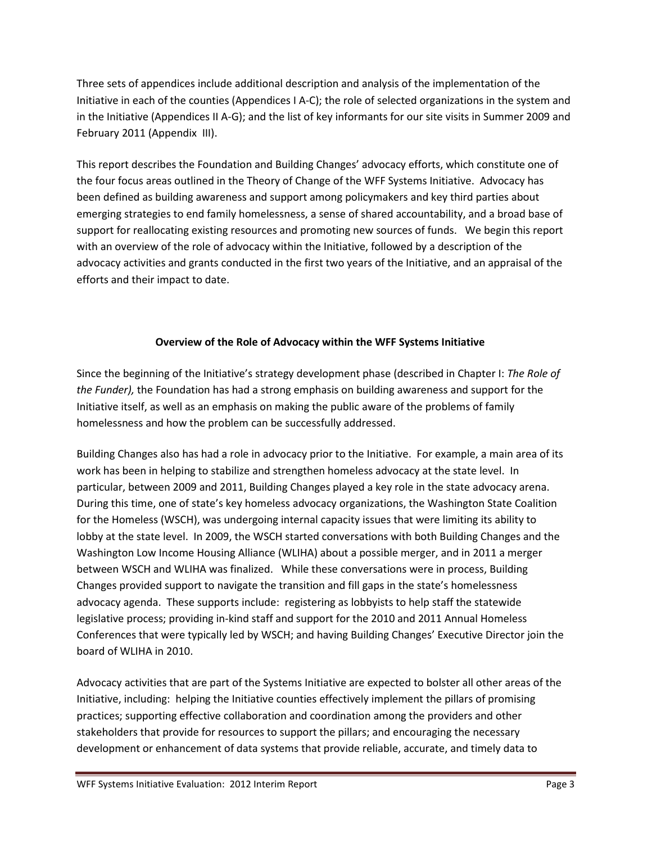Three sets of appendices include additional description and analysis of the implementation of the Initiative in each of the counties (Appendices I A-C); the role of selected organizations in the system and in the Initiative (Appendices II A-G); and the list of key informants for our site visits in Summer 2009 and February 2011 (Appendix III).

This report describes the Foundation and Building Changes' advocacy efforts, which constitute one of the four focus areas outlined in the Theory of Change of the WFF Systems Initiative. Advocacy has been defined as building awareness and support among policymakers and key third parties about emerging strategies to end family homelessness, a sense of shared accountability, and a broad base of support for reallocating existing resources and promoting new sources of funds. We begin this report with an overview of the role of advocacy within the Initiative, followed by a description of the advocacy activities and grants conducted in the first two years of the Initiative, and an appraisal of the efforts and their impact to date.

## **Overview of the Role of Advocacy within the WFF Systems Initiative**

Since the beginning of the Initiative's strategy development phase (described in Chapter I: *The Role of the Funder),* the Foundation has had a strong emphasis on building awareness and support for the Initiative itself, as well as an emphasis on making the public aware of the problems of family homelessness and how the problem can be successfully addressed.

Building Changes also has had a role in advocacy prior to the Initiative. For example, a main area of its work has been in helping to stabilize and strengthen homeless advocacy at the state level. In particular, between 2009 and 2011, Building Changes played a key role in the state advocacy arena. During this time, one of state's key homeless advocacy organizations, the Washington State Coalition for the Homeless (WSCH), was undergoing internal capacity issues that were limiting its ability to lobby at the state level. In 2009, the WSCH started conversations with both Building Changes and the Washington Low Income Housing Alliance (WLIHA) about a possible merger, and in 2011 a merger between WSCH and WLIHA was finalized. While these conversations were in process, Building Changes provided support to navigate the transition and fill gaps in the state's homelessness advocacy agenda. These supports include: registering as lobbyists to help staff the statewide legislative process; providing in-kind staff and support for the 2010 and 2011 Annual Homeless Conferences that were typically led by WSCH; and having Building Changes' Executive Director join the board of WLIHA in 2010.

Advocacy activities that are part of the Systems Initiative are expected to bolster all other areas of the Initiative, including: helping the Initiative counties effectively implement the pillars of promising practices; supporting effective collaboration and coordination among the providers and other stakeholders that provide for resources to support the pillars; and encouraging the necessary development or enhancement of data systems that provide reliable, accurate, and timely data to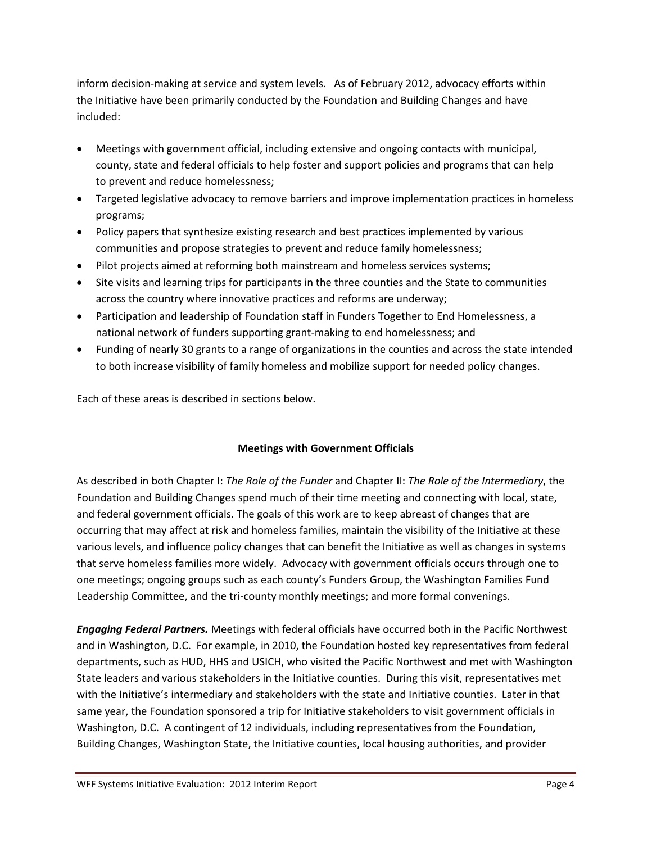inform decision-making at service and system levels. As of February 2012, advocacy efforts within the Initiative have been primarily conducted by the Foundation and Building Changes and have included:

- Meetings with government official, including extensive and ongoing contacts with municipal, county, state and federal officials to help foster and support policies and programs that can help to prevent and reduce homelessness;
- Targeted legislative advocacy to remove barriers and improve implementation practices in homeless programs;
- Policy papers that synthesize existing research and best practices implemented by various communities and propose strategies to prevent and reduce family homelessness;
- Pilot projects aimed at reforming both mainstream and homeless services systems;
- Site visits and learning trips for participants in the three counties and the State to communities across the country where innovative practices and reforms are underway;
- Participation and leadership of Foundation staff in Funders Together to End Homelessness, a national network of funders supporting grant-making to end homelessness; and
- Funding of nearly 30 grants to a range of organizations in the counties and across the state intended to both increase visibility of family homeless and mobilize support for needed policy changes.

Each of these areas is described in sections below.

## **Meetings with Government Officials**

As described in both Chapter I: *The Role of the Funder* and Chapter II: *The Role of the Intermediary*, the Foundation and Building Changes spend much of their time meeting and connecting with local, state, and federal government officials. The goals of this work are to keep abreast of changes that are occurring that may affect at risk and homeless families, maintain the visibility of the Initiative at these various levels, and influence policy changes that can benefit the Initiative as well as changes in systems that serve homeless families more widely. Advocacy with government officials occurs through one to one meetings; ongoing groups such as each county's Funders Group, the Washington Families Fund Leadership Committee, and the tri-county monthly meetings; and more formal convenings.

*Engaging Federal Partners.* Meetings with federal officials have occurred both in the Pacific Northwest and in Washington, D.C. For example, in 2010, the Foundation hosted key representatives from federal departments, such as HUD, HHS and USICH, who visited the Pacific Northwest and met with Washington State leaders and various stakeholders in the Initiative counties. During this visit, representatives met with the Initiative's intermediary and stakeholders with the state and Initiative counties. Later in that same year, the Foundation sponsored a trip for Initiative stakeholders to visit government officials in Washington, D.C. A contingent of 12 individuals, including representatives from the Foundation, Building Changes, Washington State, the Initiative counties, local housing authorities, and provider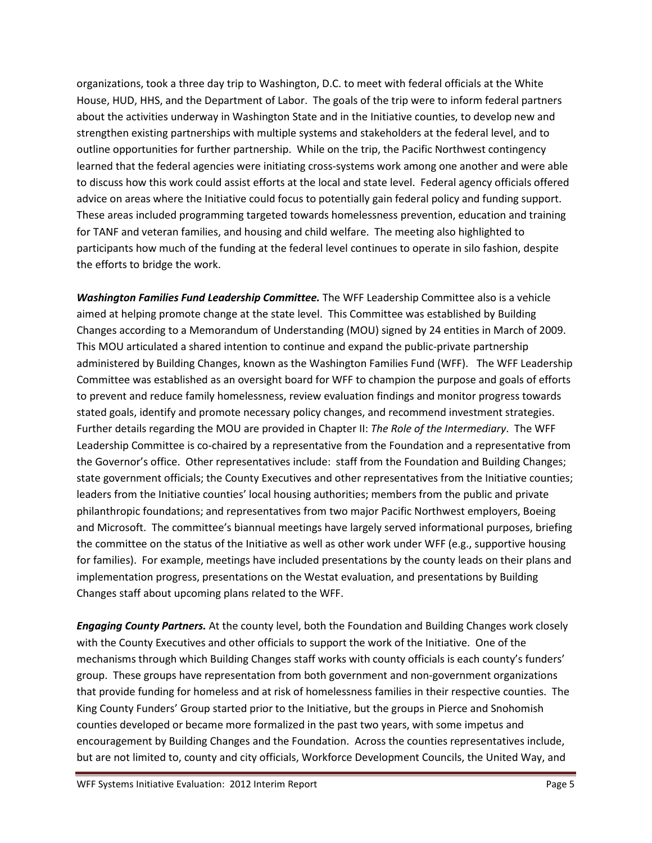organizations, took a three day trip to Washington, D.C. to meet with federal officials at the White House, HUD, HHS, and the Department of Labor. The goals of the trip were to inform federal partners about the activities underway in Washington State and in the Initiative counties, to develop new and strengthen existing partnerships with multiple systems and stakeholders at the federal level, and to outline opportunities for further partnership. While on the trip, the Pacific Northwest contingency learned that the federal agencies were initiating cross-systems work among one another and were able to discuss how this work could assist efforts at the local and state level. Federal agency officials offered advice on areas where the Initiative could focus to potentially gain federal policy and funding support. These areas included programming targeted towards homelessness prevention, education and training for TANF and veteran families, and housing and child welfare. The meeting also highlighted to participants how much of the funding at the federal level continues to operate in silo fashion, despite the efforts to bridge the work.

*Washington Families Fund Leadership Committee.* The WFF Leadership Committee also is a vehicle aimed at helping promote change at the state level. This Committee was established by Building Changes according to a Memorandum of Understanding (MOU) signed by 24 entities in March of 2009. This MOU articulated a shared intention to continue and expand the public-private partnership administered by Building Changes, known as the Washington Families Fund (WFF). The WFF Leadership Committee was established as an oversight board for WFF to champion the purpose and goals of efforts to prevent and reduce family homelessness, review evaluation findings and monitor progress towards stated goals, identify and promote necessary policy changes, and recommend investment strategies. Further details regarding the MOU are provided in Chapter II: *The Role of the Intermediary*. The WFF Leadership Committee is co-chaired by a representative from the Foundation and a representative from the Governor's office. Other representatives include: staff from the Foundation and Building Changes; state government officials; the County Executives and other representatives from the Initiative counties; leaders from the Initiative counties' local housing authorities; members from the public and private philanthropic foundations; and representatives from two major Pacific Northwest employers, Boeing and Microsoft. The committee's biannual meetings have largely served informational purposes, briefing the committee on the status of the Initiative as well as other work under WFF (e.g., supportive housing for families). For example, meetings have included presentations by the county leads on their plans and implementation progress, presentations on the Westat evaluation, and presentations by Building Changes staff about upcoming plans related to the WFF.

*Engaging County Partners.* At the county level, both the Foundation and Building Changes work closely with the County Executives and other officials to support the work of the Initiative. One of the mechanisms through which Building Changes staff works with county officials is each county's funders' group. These groups have representation from both government and non-government organizations that provide funding for homeless and at risk of homelessness families in their respective counties. The King County Funders' Group started prior to the Initiative, but the groups in Pierce and Snohomish counties developed or became more formalized in the past two years, with some impetus and encouragement by Building Changes and the Foundation. Across the counties representatives include, but are not limited to, county and city officials, Workforce Development Councils, the United Way, and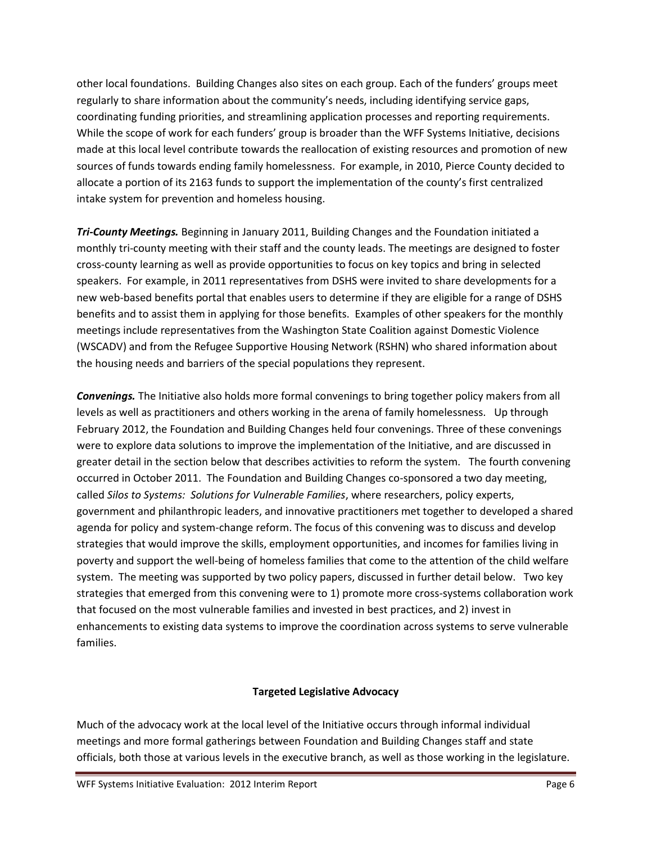other local foundations. Building Changes also sites on each group. Each of the funders' groups meet regularly to share information about the community's needs, including identifying service gaps, coordinating funding priorities, and streamlining application processes and reporting requirements. While the scope of work for each funders' group is broader than the WFF Systems Initiative, decisions made at this local level contribute towards the reallocation of existing resources and promotion of new sources of funds towards ending family homelessness. For example, in 2010, Pierce County decided to allocate a portion of its 2163 funds to support the implementation of the county's first centralized intake system for prevention and homeless housing.

*Tri-County Meetings.* Beginning in January 2011, Building Changes and the Foundation initiated a monthly tri-county meeting with their staff and the county leads. The meetings are designed to foster cross-county learning as well as provide opportunities to focus on key topics and bring in selected speakers. For example, in 2011 representatives from DSHS were invited to share developments for a new web-based benefits portal that enables users to determine if they are eligible for a range of DSHS benefits and to assist them in applying for those benefits. Examples of other speakers for the monthly meetings include representatives from the Washington State Coalition against Domestic Violence (WSCADV) and from the Refugee Supportive Housing Network (RSHN) who shared information about the housing needs and barriers of the special populations they represent.

*Convenings.* The Initiative also holds more formal convenings to bring together policy makers from all levels as well as practitioners and others working in the arena of family homelessness. Up through February 2012, the Foundation and Building Changes held four convenings. Three of these convenings were to explore data solutions to improve the implementation of the Initiative, and are discussed in greater detail in the section below that describes activities to reform the system. The fourth convening occurred in October 2011. The Foundation and Building Changes co-sponsored a two day meeting, called *Silos to Systems: Solutions for Vulnerable Families*, where researchers, policy experts, government and philanthropic leaders, and innovative practitioners met together to developed a shared agenda for policy and system-change reform. The focus of this convening was to discuss and develop strategies that would improve the skills, employment opportunities, and incomes for families living in poverty and support the well-being of homeless families that come to the attention of the child welfare system. The meeting was supported by two policy papers, discussed in further detail below. Two key strategies that emerged from this convening were to 1) promote more cross-systems collaboration work that focused on the most vulnerable families and invested in best practices, and 2) invest in enhancements to existing data systems to improve the coordination across systems to serve vulnerable families.

## **Targeted Legislative Advocacy**

Much of the advocacy work at the local level of the Initiative occurs through informal individual meetings and more formal gatherings between Foundation and Building Changes staff and state officials, both those at various levels in the executive branch, as well as those working in the legislature.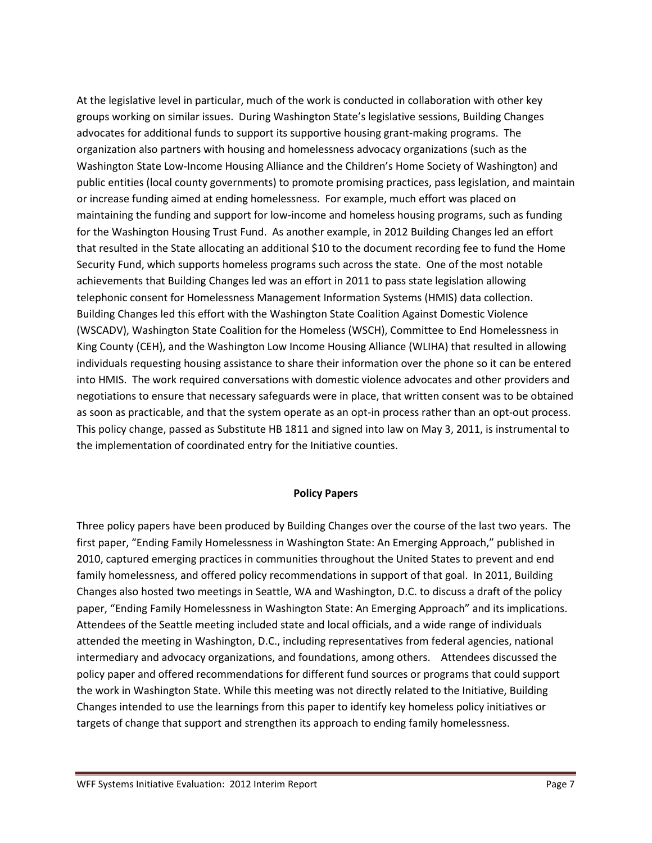At the legislative level in particular, much of the work is conducted in collaboration with other key groups working on similar issues. During Washington State's legislative sessions, Building Changes advocates for additional funds to support its supportive housing grant-making programs. The organization also partners with housing and homelessness advocacy organizations (such as the Washington State Low-Income Housing Alliance and the Children's Home Society of Washington) and public entities (local county governments) to promote promising practices, pass legislation, and maintain or increase funding aimed at ending homelessness. For example, much effort was placed on maintaining the funding and support for low-income and homeless housing programs, such as funding for the Washington Housing Trust Fund. As another example, in 2012 Building Changes led an effort that resulted in the State allocating an additional \$10 to the document recording fee to fund the Home Security Fund, which supports homeless programs such across the state. One of the most notable achievements that Building Changes led was an effort in 2011 to pass state legislation allowing telephonic consent for Homelessness Management Information Systems (HMIS) data collection. Building Changes led this effort with the Washington State Coalition Against Domestic Violence (WSCADV), Washington State Coalition for the Homeless (WSCH), Committee to End Homelessness in King County (CEH), and the Washington Low Income Housing Alliance (WLIHA) that resulted in allowing individuals requesting housing assistance to share their information over the phone so it can be entered into HMIS. The work required conversations with domestic violence advocates and other providers and negotiations to ensure that necessary safeguards were in place, that written consent was to be obtained as soon as practicable, and that the system operate as an opt-in process rather than an opt-out process. This policy change, passed as Substitute HB 1811 and signed into law on May 3, 2011, is instrumental to the implementation of coordinated entry for the Initiative counties.

#### **Policy Papers**

Three policy papers have been produced by Building Changes over the course of the last two years. The first paper, "Ending Family Homelessness in Washington State: An Emerging Approach," published in 2010, captured emerging practices in communities throughout the United States to prevent and end family homelessness, and offered policy recommendations in support of that goal. In 2011, Building Changes also hosted two meetings in Seattle, WA and Washington, D.C. to discuss a draft of the policy paper, "Ending Family Homelessness in Washington State: An Emerging Approach" and its implications. Attendees of the Seattle meeting included state and local officials, and a wide range of individuals attended the meeting in Washington, D.C., including representatives from federal agencies, national intermediary and advocacy organizations, and foundations, among others. Attendees discussed the policy paper and offered recommendations for different fund sources or programs that could support the work in Washington State. While this meeting was not directly related to the Initiative, Building Changes intended to use the learnings from this paper to identify key homeless policy initiatives or targets of change that support and strengthen its approach to ending family homelessness.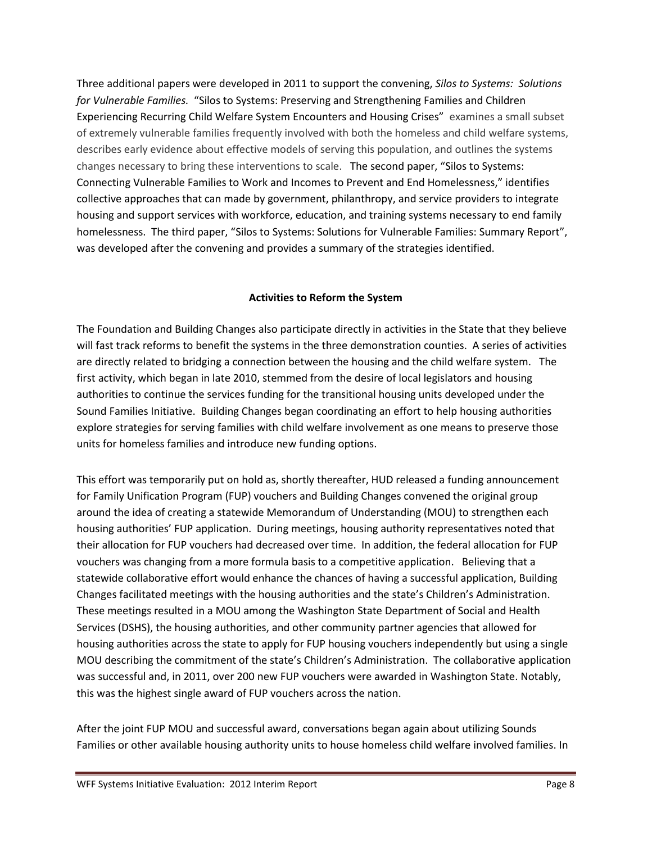Three additional papers were developed in 2011 to support the convening, *Silos to Systems: Solutions for Vulnerable Families.* "Silos to Systems: Preserving and Strengthening Families and Children Experiencing Recurring Child Welfare System Encounters and Housing Crises" examines a small subset of extremely vulnerable families frequently involved with both the homeless and child welfare systems, describes early evidence about effective models of serving this population, and outlines the systems changes necessary to bring these interventions to scale. The second paper, "Silos to Systems: Connecting Vulnerable Families to Work and Incomes to Prevent and End Homelessness," identifies collective approaches that can made by government, philanthropy, and service providers to integrate housing and support services with workforce, education, and training systems necessary to end family homelessness. The third paper, "Silos to Systems: Solutions for Vulnerable Families: Summary Report", was developed after the convening and provides a summary of the strategies identified.

#### **Activities to Reform the System**

The Foundation and Building Changes also participate directly in activities in the State that they believe will fast track reforms to benefit the systems in the three demonstration counties. A series of activities are directly related to bridging a connection between the housing and the child welfare system. The first activity, which began in late 2010, stemmed from the desire of local legislators and housing authorities to continue the services funding for the transitional housing units developed under the Sound Families Initiative. Building Changes began coordinating an effort to help housing authorities explore strategies for serving families with child welfare involvement as one means to preserve those units for homeless families and introduce new funding options.

This effort was temporarily put on hold as, shortly thereafter, HUD released a funding announcement for Family Unification Program (FUP) vouchers and Building Changes convened the original group around the idea of creating a statewide Memorandum of Understanding (MOU) to strengthen each housing authorities' FUP application. During meetings, housing authority representatives noted that their allocation for FUP vouchers had decreased over time. In addition, the federal allocation for FUP vouchers was changing from a more formula basis to a competitive application. Believing that a statewide collaborative effort would enhance the chances of having a successful application, Building Changes facilitated meetings with the housing authorities and the state's Children's Administration. These meetings resulted in a MOU among the Washington State Department of Social and Health Services (DSHS), the housing authorities, and other community partner agencies that allowed for housing authorities across the state to apply for FUP housing vouchers independently but using a single MOU describing the commitment of the state's Children's Administration. The collaborative application was successful and, in 2011, over 200 new FUP vouchers were awarded in Washington State. Notably, this was the highest single award of FUP vouchers across the nation.

After the joint FUP MOU and successful award, conversations began again about utilizing Sounds Families or other available housing authority units to house homeless child welfare involved families. In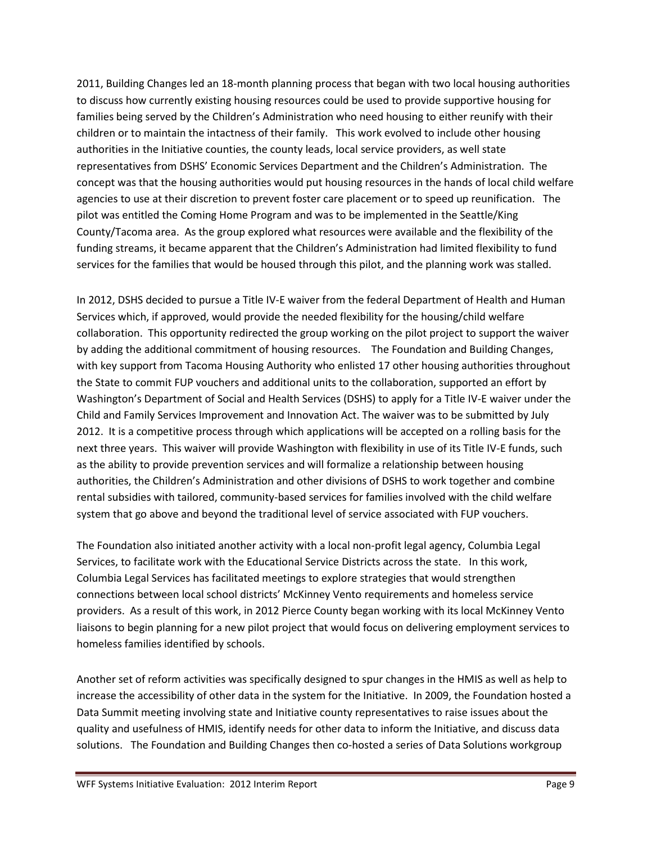2011, Building Changes led an 18-month planning process that began with two local housing authorities to discuss how currently existing housing resources could be used to provide supportive housing for families being served by the Children's Administration who need housing to either reunify with their children or to maintain the intactness of their family. This work evolved to include other housing authorities in the Initiative counties, the county leads, local service providers, as well state representatives from DSHS' Economic Services Department and the Children's Administration. The concept was that the housing authorities would put housing resources in the hands of local child welfare agencies to use at their discretion to prevent foster care placement or to speed up reunification. The pilot was entitled the Coming Home Program and was to be implemented in the Seattle/King County/Tacoma area. As the group explored what resources were available and the flexibility of the funding streams, it became apparent that the Children's Administration had limited flexibility to fund services for the families that would be housed through this pilot, and the planning work was stalled.

In 2012, DSHS decided to pursue a Title IV-E waiver from the federal Department of Health and Human Services which, if approved, would provide the needed flexibility for the housing/child welfare collaboration. This opportunity redirected the group working on the pilot project to support the waiver by adding the additional commitment of housing resources. The Foundation and Building Changes, with key support from Tacoma Housing Authority who enlisted 17 other housing authorities throughout the State to commit FUP vouchers and additional units to the collaboration, supported an effort by Washington's Department of Social and Health Services (DSHS) to apply for a Title IV-E waiver under the Child and Family Services Improvement and Innovation Act. The waiver was to be submitted by July 2012. It is a competitive process through which applications will be accepted on a rolling basis for the next three years. This waiver will provide Washington with flexibility in use of its Title IV-E funds, such as the ability to provide prevention services and will formalize a relationship between housing authorities, the Children's Administration and other divisions of DSHS to work together and combine rental subsidies with tailored, community-based services for families involved with the child welfare system that go above and beyond the traditional level of service associated with FUP vouchers.

The Foundation also initiated another activity with a local non-profit legal agency, Columbia Legal Services, to facilitate work with the Educational Service Districts across the state. In this work, Columbia Legal Services has facilitated meetings to explore strategies that would strengthen connections between local school districts' McKinney Vento requirements and homeless service providers. As a result of this work, in 2012 Pierce County began working with its local McKinney Vento liaisons to begin planning for a new pilot project that would focus on delivering employment services to homeless families identified by schools.

Another set of reform activities was specifically designed to spur changes in the HMIS as well as help to increase the accessibility of other data in the system for the Initiative. In 2009, the Foundation hosted a Data Summit meeting involving state and Initiative county representatives to raise issues about the quality and usefulness of HMIS, identify needs for other data to inform the Initiative, and discuss data solutions. The Foundation and Building Changes then co-hosted a series of Data Solutions workgroup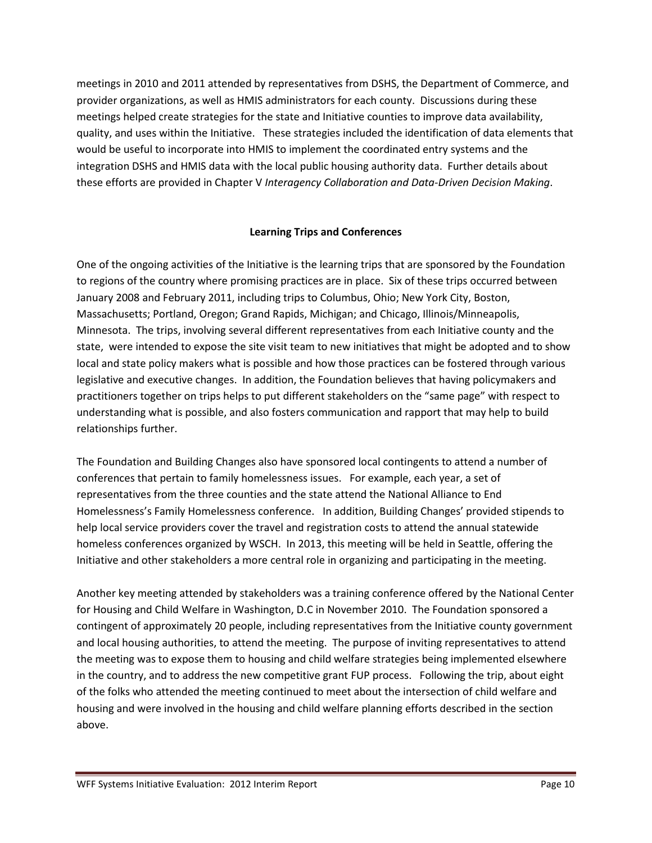meetings in 2010 and 2011 attended by representatives from DSHS, the Department of Commerce, and provider organizations, as well as HMIS administrators for each county. Discussions during these meetings helped create strategies for the state and Initiative counties to improve data availability, quality, and uses within the Initiative. These strategies included the identification of data elements that would be useful to incorporate into HMIS to implement the coordinated entry systems and the integration DSHS and HMIS data with the local public housing authority data. Further details about these efforts are provided in Chapter V *Interagency Collaboration and Data-Driven Decision Making*.

## **Learning Trips and Conferences**

One of the ongoing activities of the Initiative is the learning trips that are sponsored by the Foundation to regions of the country where promising practices are in place. Six of these trips occurred between January 2008 and February 2011, including trips to Columbus, Ohio; New York City, Boston, Massachusetts; Portland, Oregon; Grand Rapids, Michigan; and Chicago, Illinois/Minneapolis, Minnesota. The trips, involving several different representatives from each Initiative county and the state, were intended to expose the site visit team to new initiatives that might be adopted and to show local and state policy makers what is possible and how those practices can be fostered through various legislative and executive changes. In addition, the Foundation believes that having policymakers and practitioners together on trips helps to put different stakeholders on the "same page" with respect to understanding what is possible, and also fosters communication and rapport that may help to build relationships further.

The Foundation and Building Changes also have sponsored local contingents to attend a number of conferences that pertain to family homelessness issues. For example, each year, a set of representatives from the three counties and the state attend the National Alliance to End Homelessness's Family Homelessness conference. In addition, Building Changes' provided stipends to help local service providers cover the travel and registration costs to attend the annual statewide homeless conferences organized by WSCH. In 2013, this meeting will be held in Seattle, offering the Initiative and other stakeholders a more central role in organizing and participating in the meeting.

Another key meeting attended by stakeholders was a training conference offered by the National Center for Housing and Child Welfare in Washington, D.C in November 2010. The Foundation sponsored a contingent of approximately 20 people, including representatives from the Initiative county government and local housing authorities, to attend the meeting. The purpose of inviting representatives to attend the meeting was to expose them to housing and child welfare strategies being implemented elsewhere in the country, and to address the new competitive grant FUP process. Following the trip, about eight of the folks who attended the meeting continued to meet about the intersection of child welfare and housing and were involved in the housing and child welfare planning efforts described in the section above.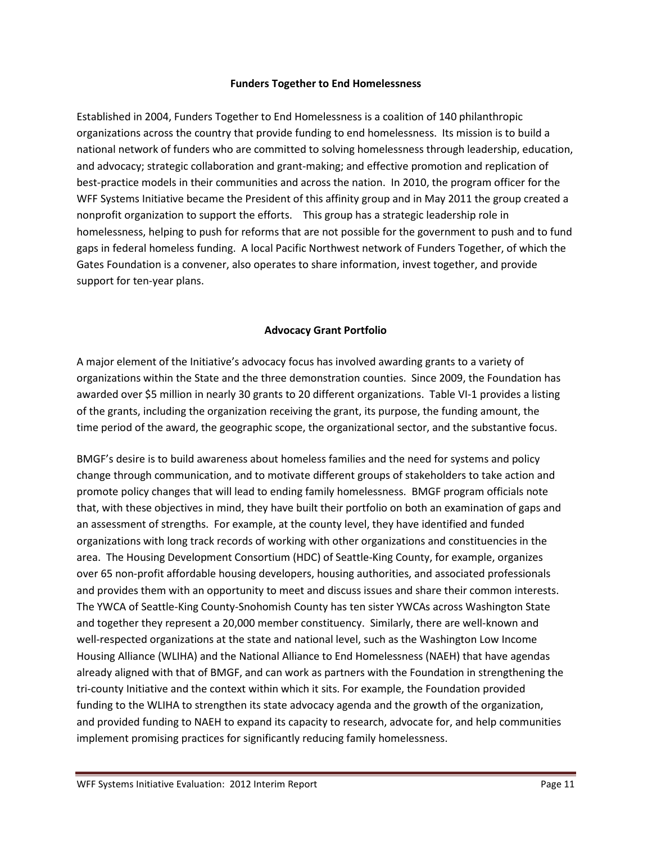#### **Funders Together to End Homelessness**

Established in 2004, Funders Together to End Homelessness is a coalition of 140 philanthropic organizations across the country that provide funding to end homelessness. Its mission is to build a national network of funders who are committed to solving homelessness through leadership, education, and advocacy; strategic collaboration and grant-making; and effective promotion and replication of best-practice models in their communities and across the nation. In 2010, the program officer for the WFF Systems Initiative became the President of this affinity group and in May 2011 the group created a nonprofit organization to support the efforts. This group has a strategic leadership role in homelessness, helping to push for reforms that are not possible for the government to push and to fund gaps in federal homeless funding. A local Pacific Northwest network of Funders Together, of which the Gates Foundation is a convener, also operates to share information, invest together, and provide support for ten-year plans.

## **Advocacy Grant Portfolio**

A major element of the Initiative's advocacy focus has involved awarding grants to a variety of organizations within the State and the three demonstration counties. Since 2009, the Foundation has awarded over \$5 million in nearly 30 grants to 20 different organizations. Table VI-1 provides a listing of the grants, including the organization receiving the grant, its purpose, the funding amount, the time period of the award, the geographic scope, the organizational sector, and the substantive focus.

BMGF's desire is to build awareness about homeless families and the need for systems and policy change through communication, and to motivate different groups of stakeholders to take action and promote policy changes that will lead to ending family homelessness. BMGF program officials note that, with these objectives in mind, they have built their portfolio on both an examination of gaps and an assessment of strengths. For example, at the county level, they have identified and funded organizations with long track records of working with other organizations and constituencies in the area. The Housing Development Consortium (HDC) of Seattle-King County, for example, organizes over 65 non-profit affordable housing developers, housing authorities, and associated professionals and provides them with an opportunity to meet and discuss issues and share their common interests. The YWCA of Seattle-King County-Snohomish County has ten sister YWCAs across Washington State and together they represent a 20,000 member constituency. Similarly, there are well-known and well-respected organizations at the state and national level, such as the Washington Low Income Housing Alliance (WLIHA) and the National Alliance to End Homelessness (NAEH) that have agendas already aligned with that of BMGF, and can work as partners with the Foundation in strengthening the tri-county Initiative and the context within which it sits. For example, the Foundation provided funding to the WLIHA to strengthen its state advocacy agenda and the growth of the organization, and provided funding to NAEH to expand its capacity to research, advocate for, and help communities implement promising practices for significantly reducing family homelessness.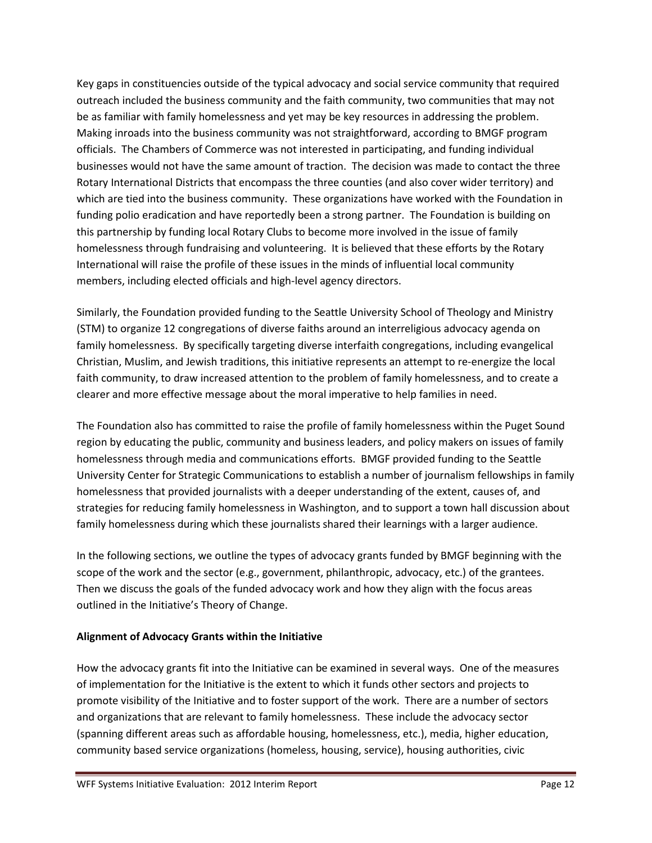Key gaps in constituencies outside of the typical advocacy and social service community that required outreach included the business community and the faith community, two communities that may not be as familiar with family homelessness and yet may be key resources in addressing the problem. Making inroads into the business community was not straightforward, according to BMGF program officials. The Chambers of Commerce was not interested in participating, and funding individual businesses would not have the same amount of traction. The decision was made to contact the three Rotary International Districts that encompass the three counties (and also cover wider territory) and which are tied into the business community. These organizations have worked with the Foundation in funding polio eradication and have reportedly been a strong partner. The Foundation is building on this partnership by funding local Rotary Clubs to become more involved in the issue of family homelessness through fundraising and volunteering. It is believed that these efforts by the Rotary International will raise the profile of these issues in the minds of influential local community members, including elected officials and high-level agency directors.

Similarly, the Foundation provided funding to the Seattle University School of Theology and Ministry (STM) to organize 12 congregations of diverse faiths around an interreligious advocacy agenda on family homelessness. By specifically targeting diverse interfaith congregations, including evangelical Christian, Muslim, and Jewish traditions, this initiative represents an attempt to re-energize the local faith community, to draw increased attention to the problem of family homelessness, and to create a clearer and more effective message about the moral imperative to help families in need.

The Foundation also has committed to raise the profile of family homelessness within the Puget Sound region by educating the public, community and business leaders, and policy makers on issues of family homelessness through media and communications efforts. BMGF provided funding to the Seattle University Center for Strategic Communications to establish a number of journalism fellowships in family homelessness that provided journalists with a deeper understanding of the extent, causes of, and strategies for reducing family homelessness in Washington, and to support a town hall discussion about family homelessness during which these journalists shared their learnings with a larger audience.

In the following sections, we outline the types of advocacy grants funded by BMGF beginning with the scope of the work and the sector (e.g., government, philanthropic, advocacy, etc.) of the grantees. Then we discuss the goals of the funded advocacy work and how they align with the focus areas outlined in the Initiative's Theory of Change.

## **Alignment of Advocacy Grants within the Initiative**

How the advocacy grants fit into the Initiative can be examined in several ways. One of the measures of implementation for the Initiative is the extent to which it funds other sectors and projects to promote visibility of the Initiative and to foster support of the work. There are a number of sectors and organizations that are relevant to family homelessness. These include the advocacy sector (spanning different areas such as affordable housing, homelessness, etc.), media, higher education, community based service organizations (homeless, housing, service), housing authorities, civic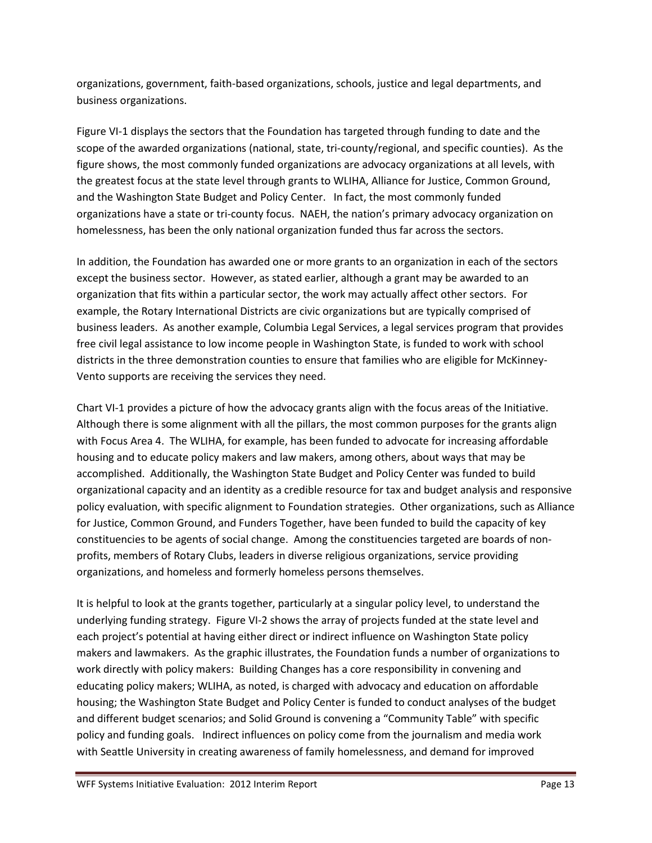organizations, government, faith-based organizations, schools, justice and legal departments, and business organizations.

Figure VI-1 displays the sectors that the Foundation has targeted through funding to date and the scope of the awarded organizations (national, state, tri-county/regional, and specific counties). As the figure shows, the most commonly funded organizations are advocacy organizations at all levels, with the greatest focus at the state level through grants to WLIHA, Alliance for Justice, Common Ground, and the Washington State Budget and Policy Center. In fact, the most commonly funded organizations have a state or tri-county focus. NAEH, the nation's primary advocacy organization on homelessness, has been the only national organization funded thus far across the sectors.

In addition, the Foundation has awarded one or more grants to an organization in each of the sectors except the business sector. However, as stated earlier, although a grant may be awarded to an organization that fits within a particular sector, the work may actually affect other sectors. For example, the Rotary International Districts are civic organizations but are typically comprised of business leaders. As another example, Columbia Legal Services, a legal services program that provides free civil legal assistance to low income people in Washington State, is funded to work with school districts in the three demonstration counties to ensure that families who are eligible for McKinney-Vento supports are receiving the services they need.

Chart VI-1 provides a picture of how the advocacy grants align with the focus areas of the Initiative. Although there is some alignment with all the pillars, the most common purposes for the grants align with Focus Area 4. The WLIHA, for example, has been funded to advocate for increasing affordable housing and to educate policy makers and law makers, among others, about ways that may be accomplished. Additionally, the Washington State Budget and Policy Center was funded to build organizational capacity and an identity as a credible resource for tax and budget analysis and responsive policy evaluation, with specific alignment to Foundation strategies. Other organizations, such as Alliance for Justice, Common Ground, and Funders Together, have been funded to build the capacity of key constituencies to be agents of social change. Among the constituencies targeted are boards of nonprofits, members of Rotary Clubs, leaders in diverse religious organizations, service providing organizations, and homeless and formerly homeless persons themselves.

It is helpful to look at the grants together, particularly at a singular policy level, to understand the underlying funding strategy. Figure VI-2 shows the array of projects funded at the state level and each project's potential at having either direct or indirect influence on Washington State policy makers and lawmakers. As the graphic illustrates, the Foundation funds a number of organizations to work directly with policy makers: Building Changes has a core responsibility in convening and educating policy makers; WLIHA, as noted, is charged with advocacy and education on affordable housing; the Washington State Budget and Policy Center is funded to conduct analyses of the budget and different budget scenarios; and Solid Ground is convening a "Community Table" with specific policy and funding goals. Indirect influences on policy come from the journalism and media work with Seattle University in creating awareness of family homelessness, and demand for improved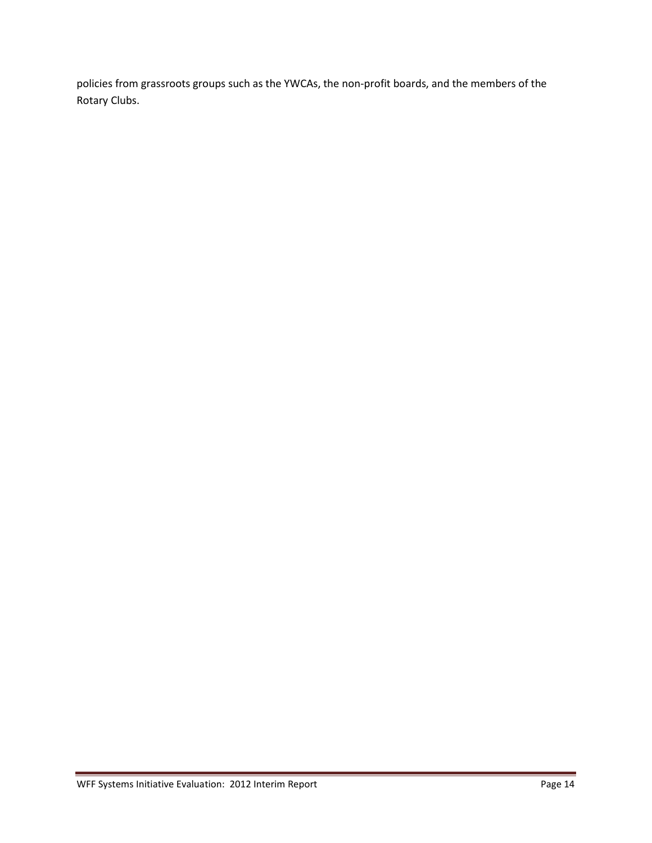policies from grassroots groups such as the YWCAs, the non-profit boards, and the members of the Rotary Clubs.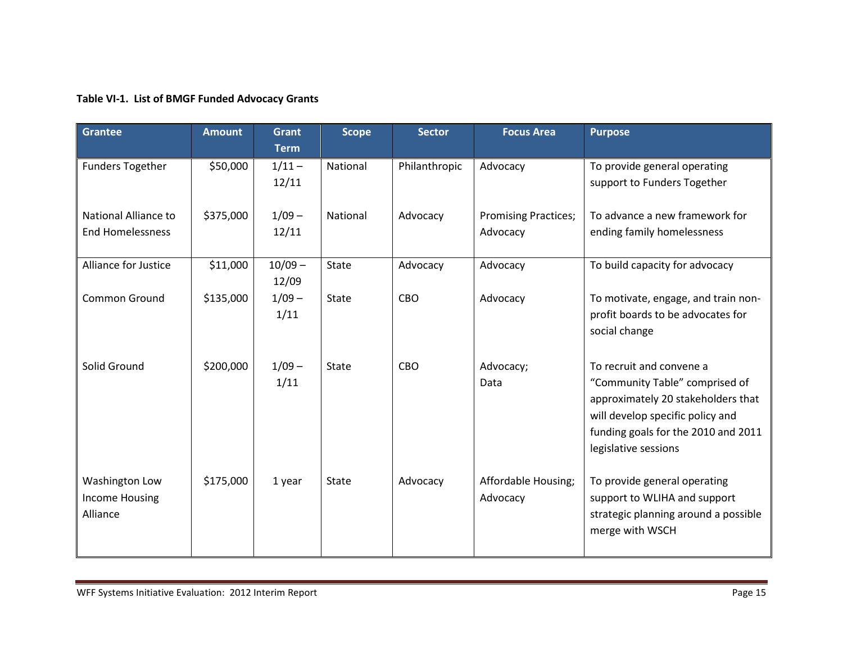# **Table VI-1. List of BMGF Funded Advocacy Grants**

| <b>Grantee</b>                                      | <b>Amount</b> | <b>Grant</b><br><b>Term</b> | <b>Scope</b> | <b>Sector</b> | <b>Focus Area</b>                       | <b>Purpose</b>                                                                                                                                                                                      |
|-----------------------------------------------------|---------------|-----------------------------|--------------|---------------|-----------------------------------------|-----------------------------------------------------------------------------------------------------------------------------------------------------------------------------------------------------|
| <b>Funders Together</b>                             | \$50,000      | $1/11 -$<br>12/11           | National     | Philanthropic | Advocacy                                | To provide general operating<br>support to Funders Together                                                                                                                                         |
| National Alliance to<br><b>End Homelessness</b>     | \$375,000     | $1/09 -$<br>12/11           | National     | Advocacy      | <b>Promising Practices;</b><br>Advocacy | To advance a new framework for<br>ending family homelessness                                                                                                                                        |
| Alliance for Justice                                | \$11,000      | $10/09 -$<br>12/09          | <b>State</b> | Advocacy      | Advocacy                                | To build capacity for advocacy                                                                                                                                                                      |
| <b>Common Ground</b>                                | \$135,000     | $1/09 -$<br>1/11            | <b>State</b> | CBO           | Advocacy                                | To motivate, engage, and train non-<br>profit boards to be advocates for<br>social change                                                                                                           |
| Solid Ground                                        | \$200,000     | $1/09 -$<br>1/11            | <b>State</b> | CBO           | Advocacy;<br>Data                       | To recruit and convene a<br>"Community Table" comprised of<br>approximately 20 stakeholders that<br>will develop specific policy and<br>funding goals for the 2010 and 2011<br>legislative sessions |
| Washington Low<br><b>Income Housing</b><br>Alliance | \$175,000     | 1 year                      | <b>State</b> | Advocacy      | Affordable Housing;<br>Advocacy         | To provide general operating<br>support to WLIHA and support<br>strategic planning around a possible<br>merge with WSCH                                                                             |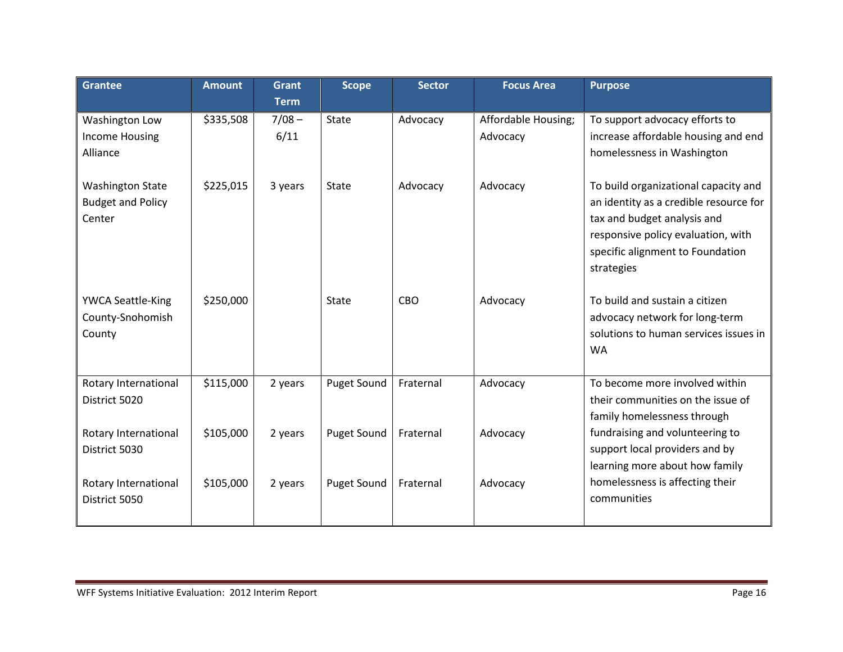| <b>Grantee</b>                                                | <b>Amount</b> | <b>Grant</b><br><b>Term</b> | <b>Scope</b>       | <b>Sector</b> | <b>Focus Area</b>               | <b>Purpose</b>                                                                                                                                                                                        |
|---------------------------------------------------------------|---------------|-----------------------------|--------------------|---------------|---------------------------------|-------------------------------------------------------------------------------------------------------------------------------------------------------------------------------------------------------|
| Washington Low<br><b>Income Housing</b><br>Alliance           | \$335,508     | $7/08 -$<br>6/11            | <b>State</b>       | Advocacy      | Affordable Housing;<br>Advocacy | To support advocacy efforts to<br>increase affordable housing and end<br>homelessness in Washington                                                                                                   |
| <b>Washington State</b><br><b>Budget and Policy</b><br>Center | \$225,015     | 3 years                     | State              | Advocacy      | Advocacy                        | To build organizational capacity and<br>an identity as a credible resource for<br>tax and budget analysis and<br>responsive policy evaluation, with<br>specific alignment to Foundation<br>strategies |
| <b>YWCA Seattle-King</b><br>County-Snohomish<br>County        | \$250,000     |                             | <b>State</b>       | CBO           | Advocacy                        | To build and sustain a citizen<br>advocacy network for long-term<br>solutions to human services issues in<br><b>WA</b>                                                                                |
| Rotary International<br>District 5020                         | \$115,000     | 2 years                     | Puget Sound        | Fraternal     | Advocacy                        | To become more involved within<br>their communities on the issue of<br>family homelessness through                                                                                                    |
| Rotary International<br>District 5030                         | \$105,000     | 2 years                     | <b>Puget Sound</b> | Fraternal     | Advocacy                        | fundraising and volunteering to<br>support local providers and by<br>learning more about how family                                                                                                   |
| Rotary International<br>District 5050                         | \$105,000     | 2 years                     | Puget Sound        | Fraternal     | Advocacy                        | homelessness is affecting their<br>communities                                                                                                                                                        |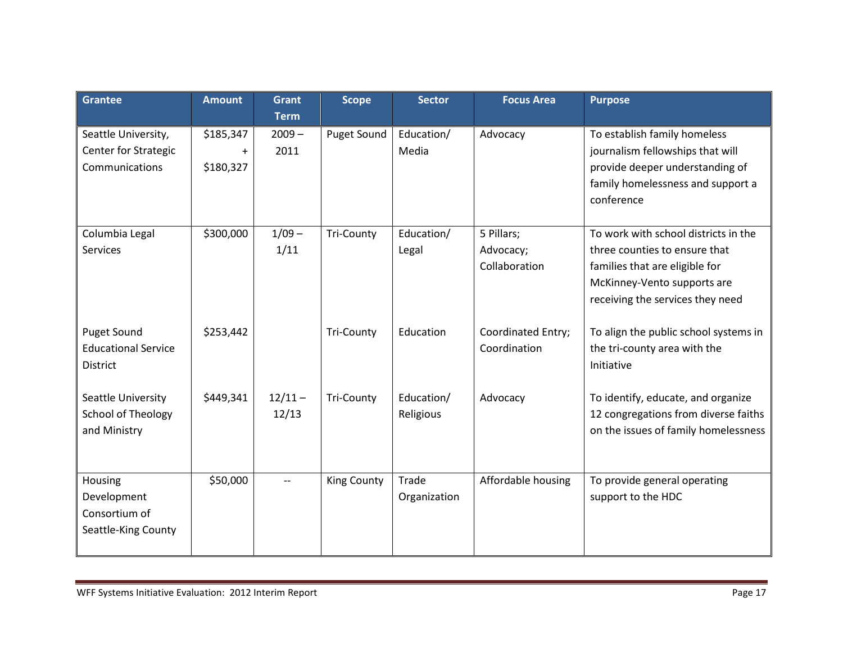| <b>Grantee</b>                                                       | <b>Amount</b>                       | Grant<br><b>Term</b>     | <b>Scope</b>       | <b>Sector</b>           | <b>Focus Area</b>                        | <b>Purpose</b>                                                                                                                                                             |
|----------------------------------------------------------------------|-------------------------------------|--------------------------|--------------------|-------------------------|------------------------------------------|----------------------------------------------------------------------------------------------------------------------------------------------------------------------------|
| Seattle University,<br><b>Center for Strategic</b><br>Communications | \$185,347<br>$\ddot{}$<br>\$180,327 | $2009 -$<br>2011         | Puget Sound        | Education/<br>Media     | Advocacy                                 | To establish family homeless<br>journalism fellowships that will<br>provide deeper understanding of<br>family homelessness and support a<br>conference                     |
| Columbia Legal<br>Services                                           | \$300,000                           | $1/09 -$<br>1/11         | <b>Tri-County</b>  | Education/<br>Legal     | 5 Pillars;<br>Advocacy;<br>Collaboration | To work with school districts in the<br>three counties to ensure that<br>families that are eligible for<br>McKinney-Vento supports are<br>receiving the services they need |
| <b>Puget Sound</b><br><b>Educational Service</b><br>District         | \$253,442                           |                          | <b>Tri-County</b>  | Education               | Coordinated Entry;<br>Coordination       | To align the public school systems in<br>the tri-county area with the<br>Initiative                                                                                        |
| Seattle University<br><b>School of Theology</b><br>and Ministry      | \$449,341                           | $12/11 -$<br>12/13       | <b>Tri-County</b>  | Education/<br>Religious | Advocacy                                 | To identify, educate, and organize<br>12 congregations from diverse faiths<br>on the issues of family homelessness                                                         |
| Housing<br>Development<br>Consortium of<br>Seattle-King County       | \$50,000                            | $\overline{\phantom{a}}$ | <b>King County</b> | Trade<br>Organization   | Affordable housing                       | To provide general operating<br>support to the HDC                                                                                                                         |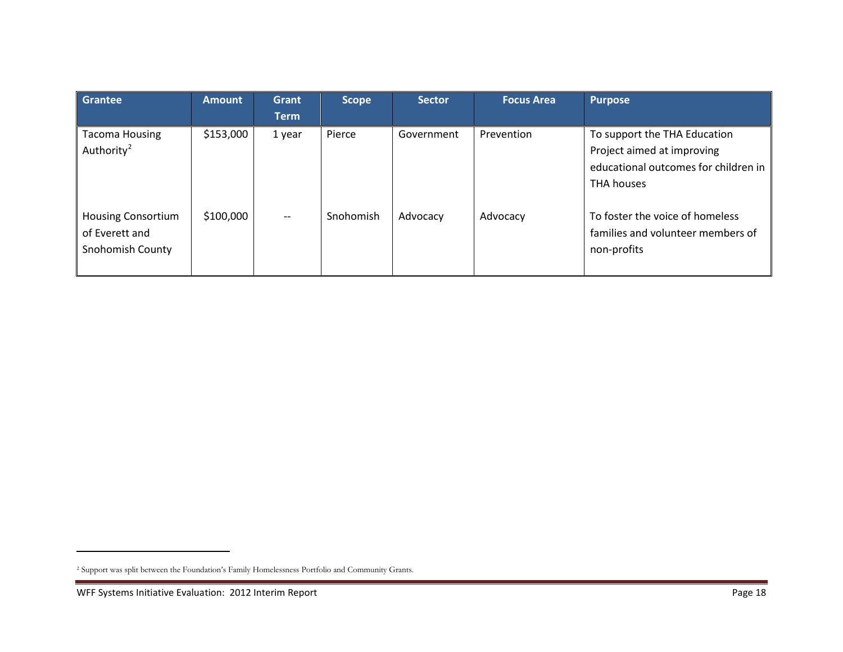<span id="page-17-0"></span>

| <b>Grantee</b>                                                         | <b>Amount</b> | Grant<br><b>Term</b>          | <b>Scope</b> | <b>Sector</b> | <b>Focus Area</b> | <b>Purpose</b>                                                                                                          |
|------------------------------------------------------------------------|---------------|-------------------------------|--------------|---------------|-------------------|-------------------------------------------------------------------------------------------------------------------------|
| <b>Tacoma Housing</b><br>Authority <sup>2</sup>                        | \$153,000     | 1 year                        | Pierce       | Government    | Prevention        | To support the THA Education<br>Project aimed at improving<br>educational outcomes for children in<br><b>THA houses</b> |
| <b>Housing Consortium</b><br>of Everett and<br><b>Snohomish County</b> | \$100,000     | $\hspace{0.05cm} \textbf{--}$ | Snohomish    | Advocacy      | Advocacy          | To foster the voice of homeless<br>families and volunteer members of<br>non-profits                                     |

 $\overline{a}$ 

<sup>2</sup> Support was split between the Foundation's Family Homelessness Portfolio and Community Grants.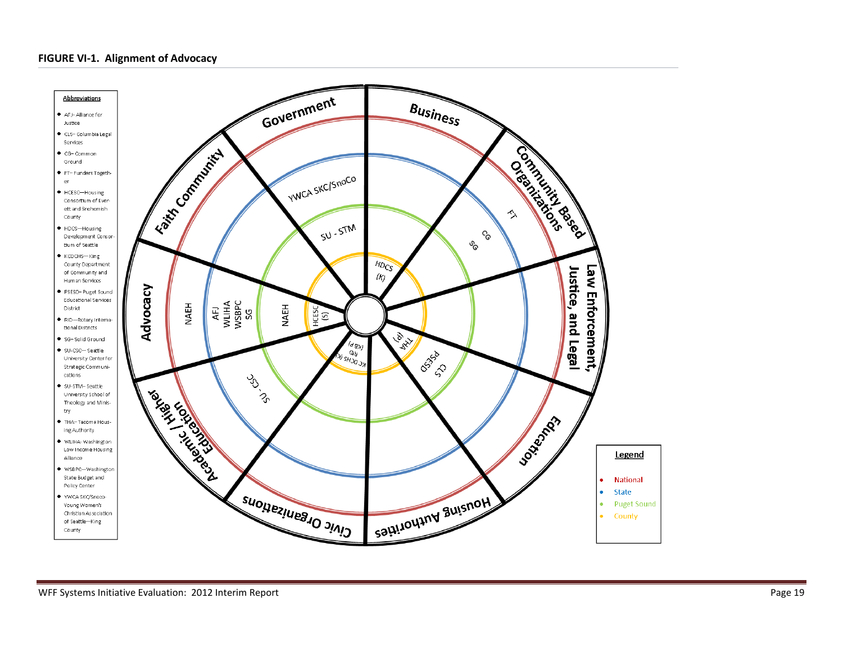#### **FIGURE VI-1. Alignment of Advocacy**

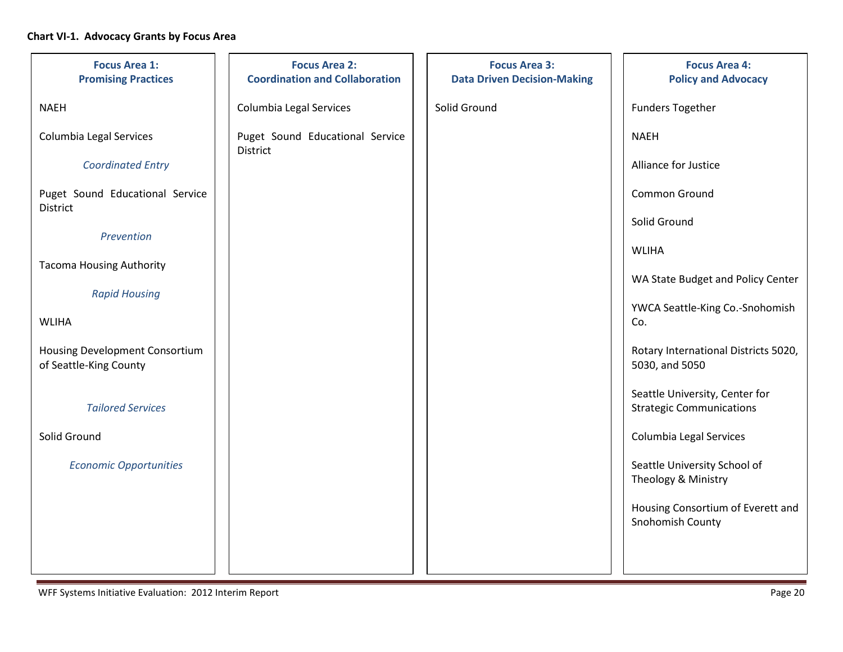## **Chart VI-1. Advocacy Grants by Focus Area**

| <b>Focus Area 1:</b><br><b>Promising Practices</b>       | <b>Focus Area 2:</b><br><b>Coordination and Collaboration</b> | <b>Focus Area 3:</b><br><b>Data Driven Decision-Making</b> | <b>Focus Area 4:</b><br><b>Policy and Advocacy</b>                |
|----------------------------------------------------------|---------------------------------------------------------------|------------------------------------------------------------|-------------------------------------------------------------------|
| <b>NAEH</b>                                              | Columbia Legal Services                                       | Solid Ground                                               | <b>Funders Together</b>                                           |
| Columbia Legal Services                                  | Puget Sound Educational Service                               |                                                            | <b>NAEH</b>                                                       |
| <b>Coordinated Entry</b>                                 | District                                                      |                                                            | Alliance for Justice                                              |
| Puget Sound Educational Service<br>District              |                                                               |                                                            | Common Ground                                                     |
| Prevention                                               |                                                               |                                                            | Solid Ground                                                      |
| <b>Tacoma Housing Authority</b>                          |                                                               |                                                            | <b>WLIHA</b>                                                      |
|                                                          |                                                               |                                                            | WA State Budget and Policy Center                                 |
| <b>Rapid Housing</b><br><b>WLIHA</b>                     |                                                               |                                                            | YWCA Seattle-King Co.-Snohomish<br>Co.                            |
| Housing Development Consortium<br>of Seattle-King County |                                                               |                                                            | Rotary International Districts 5020,<br>5030, and 5050            |
| <b>Tailored Services</b>                                 |                                                               |                                                            | Seattle University, Center for<br><b>Strategic Communications</b> |
| Solid Ground                                             |                                                               |                                                            | Columbia Legal Services                                           |
| <b>Economic Opportunities</b>                            |                                                               |                                                            | Seattle University School of<br>Theology & Ministry               |
|                                                          |                                                               |                                                            | Housing Consortium of Everett and<br>Snohomish County             |
|                                                          |                                                               |                                                            |                                                                   |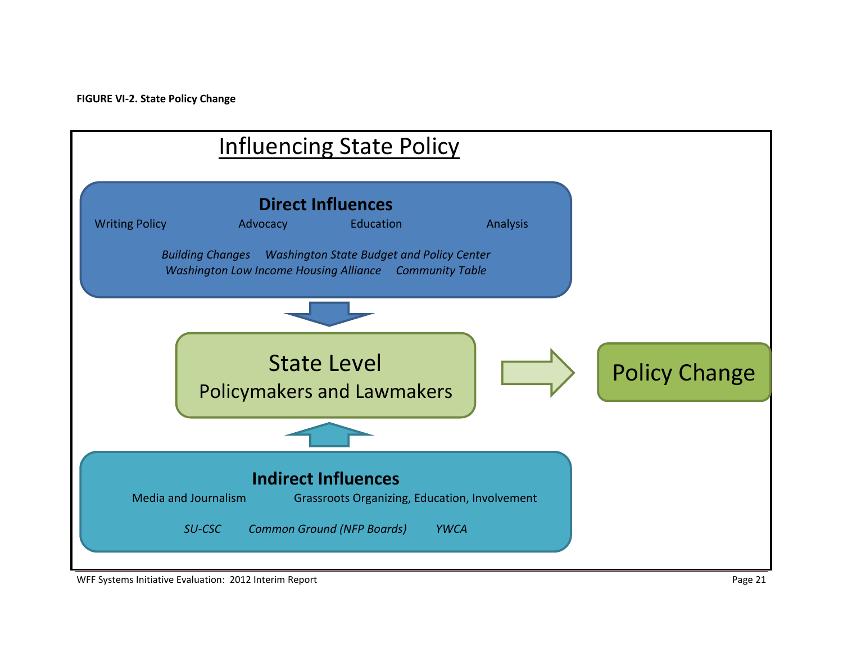

WFF Systems Initiative Evaluation: 2012 Interim Report **Page 21** All and the United States of Page 21 Page 21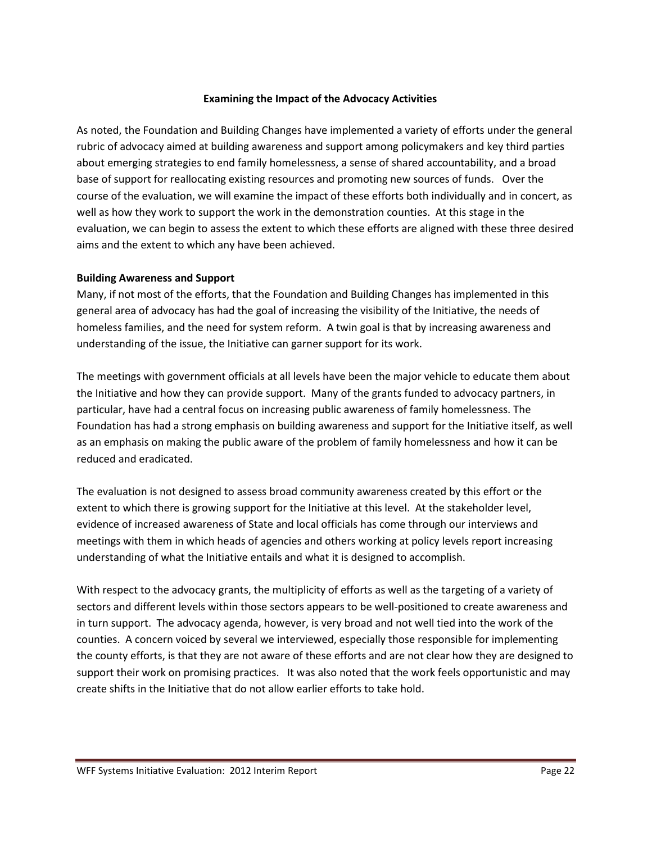#### **Examining the Impact of the Advocacy Activities**

As noted, the Foundation and Building Changes have implemented a variety of efforts under the general rubric of advocacy aimed at building awareness and support among policymakers and key third parties about emerging strategies to end family homelessness, a sense of shared accountability, and a broad base of support for reallocating existing resources and promoting new sources of funds. Over the course of the evaluation, we will examine the impact of these efforts both individually and in concert, as well as how they work to support the work in the demonstration counties. At this stage in the evaluation, we can begin to assess the extent to which these efforts are aligned with these three desired aims and the extent to which any have been achieved.

#### **Building Awareness and Support**

Many, if not most of the efforts, that the Foundation and Building Changes has implemented in this general area of advocacy has had the goal of increasing the visibility of the Initiative, the needs of homeless families, and the need for system reform. A twin goal is that by increasing awareness and understanding of the issue, the Initiative can garner support for its work.

The meetings with government officials at all levels have been the major vehicle to educate them about the Initiative and how they can provide support. Many of the grants funded to advocacy partners, in particular, have had a central focus on increasing public awareness of family homelessness. The Foundation has had a strong emphasis on building awareness and support for the Initiative itself, as well as an emphasis on making the public aware of the problem of family homelessness and how it can be reduced and eradicated.

The evaluation is not designed to assess broad community awareness created by this effort or the extent to which there is growing support for the Initiative at this level. At the stakeholder level, evidence of increased awareness of State and local officials has come through our interviews and meetings with them in which heads of agencies and others working at policy levels report increasing understanding of what the Initiative entails and what it is designed to accomplish.

With respect to the advocacy grants, the multiplicity of efforts as well as the targeting of a variety of sectors and different levels within those sectors appears to be well-positioned to create awareness and in turn support. The advocacy agenda, however, is very broad and not well tied into the work of the counties. A concern voiced by several we interviewed, especially those responsible for implementing the county efforts, is that they are not aware of these efforts and are not clear how they are designed to support their work on promising practices. It was also noted that the work feels opportunistic and may create shifts in the Initiative that do not allow earlier efforts to take hold.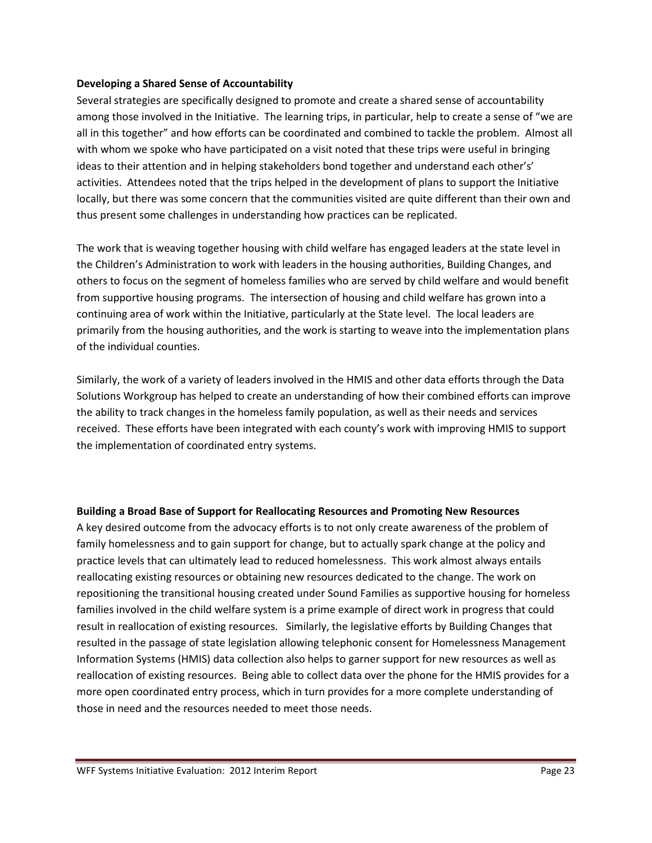#### **Developing a Shared Sense of Accountability**

Several strategies are specifically designed to promote and create a shared sense of accountability among those involved in the Initiative. The learning trips, in particular, help to create a sense of "we are all in this together" and how efforts can be coordinated and combined to tackle the problem. Almost all with whom we spoke who have participated on a visit noted that these trips were useful in bringing ideas to their attention and in helping stakeholders bond together and understand each other's' activities. Attendees noted that the trips helped in the development of plans to support the Initiative locally, but there was some concern that the communities visited are quite different than their own and thus present some challenges in understanding how practices can be replicated.

The work that is weaving together housing with child welfare has engaged leaders at the state level in the Children's Administration to work with leaders in the housing authorities, Building Changes, and others to focus on the segment of homeless families who are served by child welfare and would benefit from supportive housing programs. The intersection of housing and child welfare has grown into a continuing area of work within the Initiative, particularly at the State level. The local leaders are primarily from the housing authorities, and the work is starting to weave into the implementation plans of the individual counties.

Similarly, the work of a variety of leaders involved in the HMIS and other data efforts through the Data Solutions Workgroup has helped to create an understanding of how their combined efforts can improve the ability to track changes in the homeless family population, as well as their needs and services received. These efforts have been integrated with each county's work with improving HMIS to support the implementation of coordinated entry systems.

#### **Building a Broad Base of Support for Reallocating Resources and Promoting New Resources**

A key desired outcome from the advocacy efforts is to not only create awareness of the problem of family homelessness and to gain support for change, but to actually spark change at the policy and practice levels that can ultimately lead to reduced homelessness. This work almost always entails reallocating existing resources or obtaining new resources dedicated to the change. The work on repositioning the transitional housing created under Sound Families as supportive housing for homeless families involved in the child welfare system is a prime example of direct work in progress that could result in reallocation of existing resources. Similarly, the legislative efforts by Building Changes that resulted in the passage of state legislation allowing telephonic consent for Homelessness Management Information Systems (HMIS) data collection also helps to garner support for new resources as well as reallocation of existing resources. Being able to collect data over the phone for the HMIS provides for a more open coordinated entry process, which in turn provides for a more complete understanding of those in need and the resources needed to meet those needs.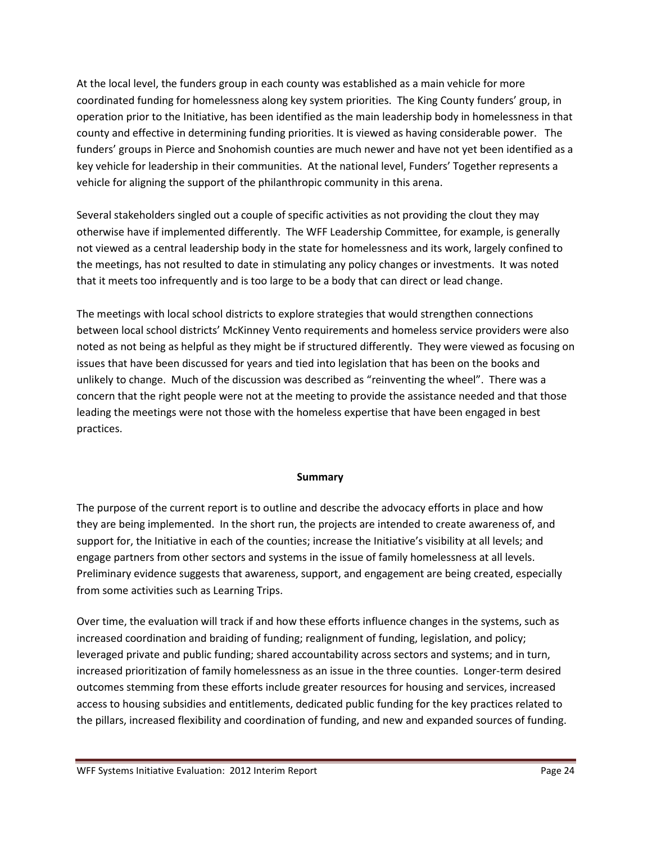At the local level, the funders group in each county was established as a main vehicle for more coordinated funding for homelessness along key system priorities. The King County funders' group, in operation prior to the Initiative, has been identified as the main leadership body in homelessness in that county and effective in determining funding priorities. It is viewed as having considerable power. The funders' groups in Pierce and Snohomish counties are much newer and have not yet been identified as a key vehicle for leadership in their communities. At the national level, Funders' Together represents a vehicle for aligning the support of the philanthropic community in this arena.

Several stakeholders singled out a couple of specific activities as not providing the clout they may otherwise have if implemented differently. The WFF Leadership Committee, for example, is generally not viewed as a central leadership body in the state for homelessness and its work, largely confined to the meetings, has not resulted to date in stimulating any policy changes or investments. It was noted that it meets too infrequently and is too large to be a body that can direct or lead change.

The meetings with local school districts to explore strategies that would strengthen connections between local school districts' McKinney Vento requirements and homeless service providers were also noted as not being as helpful as they might be if structured differently. They were viewed as focusing on issues that have been discussed for years and tied into legislation that has been on the books and unlikely to change. Much of the discussion was described as "reinventing the wheel". There was a concern that the right people were not at the meeting to provide the assistance needed and that those leading the meetings were not those with the homeless expertise that have been engaged in best practices.

#### **Summary**

The purpose of the current report is to outline and describe the advocacy efforts in place and how they are being implemented. In the short run, the projects are intended to create awareness of, and support for, the Initiative in each of the counties; increase the Initiative's visibility at all levels; and engage partners from other sectors and systems in the issue of family homelessness at all levels. Preliminary evidence suggests that awareness, support, and engagement are being created, especially from some activities such as Learning Trips.

Over time, the evaluation will track if and how these efforts influence changes in the systems, such as increased coordination and braiding of funding; realignment of funding, legislation, and policy; leveraged private and public funding; shared accountability across sectors and systems; and in turn, increased prioritization of family homelessness as an issue in the three counties. Longer-term desired outcomes stemming from these efforts include greater resources for housing and services, increased access to housing subsidies and entitlements, dedicated public funding for the key practices related to the pillars, increased flexibility and coordination of funding, and new and expanded sources of funding.